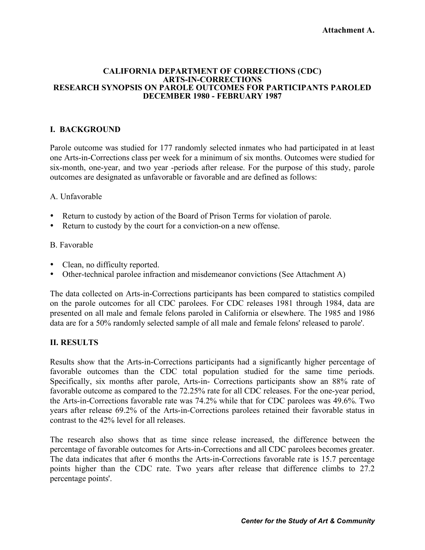#### **Attachment A.**

#### **CALIFORNIA DEPARTMENT OF CORRECTIONS (CDC) ARTS-IN-CORRECTIONS RESEARCH SYNOPSIS ON PAROLE OUTCOMES FOR PARTICIPANTS PAROLED DECEMBER 1980 - FEBRUARY 1987**

## **I. BACKGROUND**

Parole outcome was studied for 177 randomly selected inmates who had participated in at least one Arts-in-Corrections class per week for a minimum of six months. Outcomes were studied for six-month, one-year, and two year -periods after release. For the purpose of this study, parole outcomes are designated as unfavorable or favorable and are defined as follows:

## A. Unfavorable

- Return to custody by action of the Board of Prison Terms for violation of parole.
- Return to custody by the court for a conviction-on a new offense.

## B. Favorable

- Clean, no difficulty reported.
- Other-technical parolee infraction and misdemeanor convictions (See Attachment A)

The data collected on Arts-in-Corrections participants has been compared to statistics compiled on the parole outcomes for all CDC parolees. For CDC releases 1981 through 1984, data are presented on all male and female felons paroled in California or elsewhere. The 1985 and 1986 data are for a 50% randomly selected sample of all male and female felons' released to parole'.

## **II. RESULTS**

Results show that the Arts-in-Corrections participants had a significantly higher percentage of favorable outcomes than the CDC total population studied for the same time periods. Specifically, six months after parole, Arts-in- Corrections participants show an 88% rate of favorable outcome as compared to the 72.25% rate for all CDC releases. For the one-year period, the Arts-in-Corrections favorable rate was 74.2% while that for CDC parolees was 49.6%. Two years after release 69.2% of the Arts-in-Corrections parolees retained their favorable status in contrast to the 42% level for all releases.

The research also shows that as time since release increased, the difference between the percentage of favorable outcomes for Arts-in-Corrections and all CDC parolees becomes greater. The data indicates that after 6 months the Arts-in-Corrections favorable rate is 15.7 percentage points higher than the CDC rate. Two years after release that difference climbs to 27.2 percentage points'.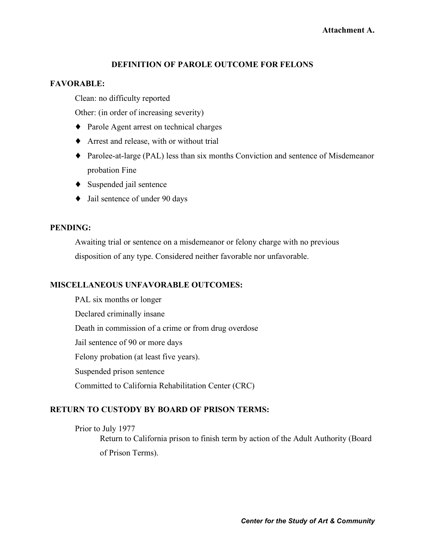## **DEFINITION OF PAROLE OUTCOME FOR FELONS**

### **FAVORABLE:**

Clean: no difficulty reported

Other: (in order of increasing severity)

- ♦ Parole Agent arrest on technical charges
- ♦ Arrest and release, with or without trial
- ♦ Parolee-at-large (PAL) less than six months Conviction and sentence of Misdemeanor probation Fine
- ♦ Suspended jail sentence
- ♦ Jail sentence of under 90 days

## **PENDING:**

Awaiting trial or sentence on a misdemeanor or felony charge with no previous disposition of any type. Considered neither favorable nor unfavorable.

## **MISCELLANEOUS UNFAVORABLE OUTCOMES:**

PAL six months or longer Declared criminally insane Death in commission of a crime or from drug overdose Jail sentence of 90 or more days Felony probation (at least five years). Suspended prison sentence Committed to California Rehabilitation Center (CRC)

## **RETURN TO CUSTODY BY BOARD OF PRISON TERMS:**

Prior to July 1977

Return to California prison to finish term by action of the Adult Authority (Board of Prison Terms).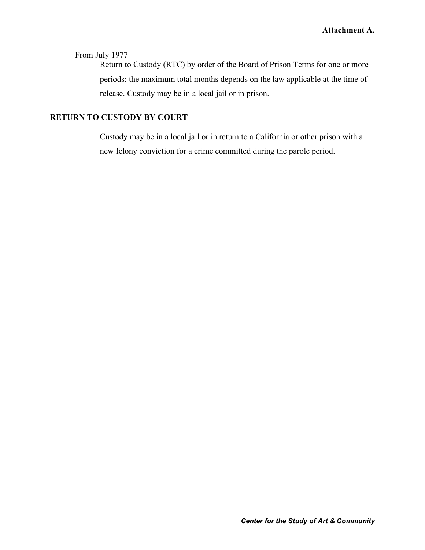# From July 1977

Return to Custody (RTC) by order of the Board of Prison Terms for one or more periods; the maximum total months depends on the law applicable at the time of release. Custody may be in a local jail or in prison.

# **RETURN TO CUSTODY BY COURT**

Custody may be in a local jail or in return to a California or other prison with a new felony conviction for a crime committed during the parole period.